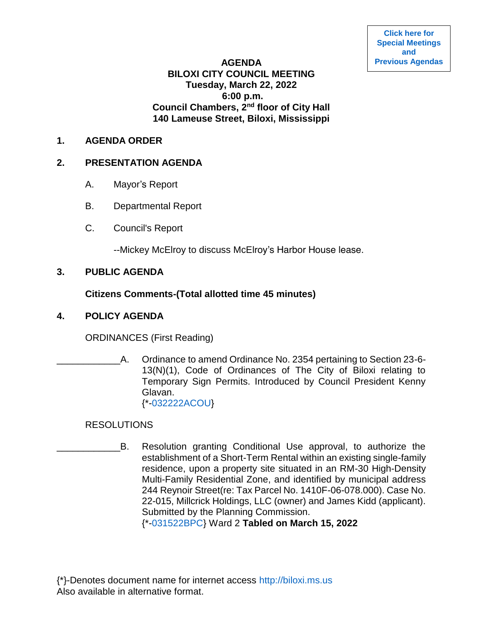# **AGENDA BILOXI CITY COUNCIL MEETING Tuesday, March 22, 2022 6:00 p.m. Council Chambers, 2nd floor of City Hall 140 Lameuse Street, Biloxi, Mississippi**

## **1. AGENDA ORDER**

## **2. PRESENTATION AGENDA**

- A. Mayor's Report
- B. Departmental Report
- C. Council's Report

--Mickey McElroy to discuss McElroy's Harbor House lease.

# **3. PUBLIC AGENDA**

# **Citizens Comments-(Total allotted time 45 minutes)**

# **4. POLICY AGENDA**

ORDINANCES (First Reading)

A. Ordinance to amend Ordinance No. 2354 pertaining to Section 23-6-13(N)(1), Code of Ordinances of The City of Biloxi relating to Temporary Sign Permits. Introduced by Council President Kenny Glavan. {\*[-032222ACOU}](https://www.biloxi.ms.us/agendas/citycouncil/2022/032222/032222acou.pdf)

# RESOLUTIONS

B. Resolution granting Conditional Use approval, to authorize the establishment of a Short-Term Rental within an existing single-family residence, upon a property site situated in an RM-30 High-Density Multi-Family Residential Zone, and identified by municipal address 244 Reynoir Street(re: Tax Parcel No. 1410F-06-078.000). Case No. 22-015, Millcrick Holdings, LLC (owner) and James Kidd (applicant). Submitted by the Planning Commission.

{\*[-031522BPC}](https://www.biloxi.ms.us/agendas/citycouncil/2022/032222/031522bpc.pdf) Ward 2 **Tabled on March 15, 2022**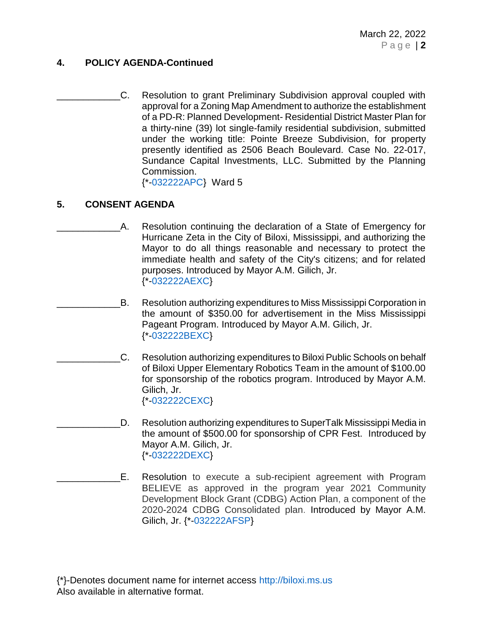## **4. POLICY AGENDA-Continued**

\_\_\_\_\_\_\_\_\_\_\_\_C. Resolution to grant Preliminary Subdivision approval coupled with approval for a Zoning Map Amendment to authorize the establishment of a PD-R: Planned Development- Residential District Master Plan for a thirty-nine (39) lot single-family residential subdivision, submitted under the working title: Pointe Breeze Subdivision, for property presently identified as 2506 Beach Boulevard. Case No. 22-017, Sundance Capital Investments, LLC. Submitted by the Planning Commission. {\*[-032222APC}](https://www.biloxi.ms.us/agendas/citycouncil/2022/032222/032222apc.pdf) Ward 5

#### **5. CONSENT AGENDA**

- A. Resolution continuing the declaration of a State of Emergency for Hurricane Zeta in the City of Biloxi, Mississippi, and authorizing the Mayor to do all things reasonable and necessary to protect the immediate health and safety of the City's citizens; and for related purposes. Introduced by Mayor A.M. Gilich, Jr. {\*[-032222AEXC}](https://www.biloxi.ms.us/agendas/citycouncil/2022/032222/032222aexc.pdf)
- \_\_\_\_\_\_\_\_\_\_\_\_B. Resolution authorizing expenditures to Miss Mississippi Corporation in the amount of \$350.00 for advertisement in the Miss Mississippi Pageant Program. Introduced by Mayor A.M. Gilich, Jr. {\*[-032222BEXC}](https://www.biloxi.ms.us/agendas/citycouncil/2022/032222/032222bexc.pdf)
- \_\_\_\_\_\_\_\_\_\_\_\_C. Resolution authorizing expenditures to Biloxi Public Schools on behalf of Biloxi Upper Elementary Robotics Team in the amount of \$100.00 for sponsorship of the robotics program. Introduced by Mayor A.M. Gilich, Jr. {\*[-032222CEXC}](https://www.biloxi.ms.us/agendas/citycouncil/2022/032222/032222cexc.pdf)
	- \_\_\_\_\_\_\_\_\_\_\_\_D. Resolution authorizing expenditures to SuperTalk Mississippi Media in the amount of \$500.00 for sponsorship of CPR Fest. Introduced by Mayor A.M. Gilich, Jr. {\*[-032222DEXC}](https://www.biloxi.ms.us/agendas/citycouncil/2022/032222/032222dexc.pdf)
- E. Resolution to execute a sub-recipient agreement with Program BELIEVE as approved in the program year 2021 Community Development Block Grant (CDBG) Action Plan, a component of the 2020-2024 CDBG Consolidated plan. Introduced by Mayor A.M. Gilich, Jr. {\*[-032222AFSP}](https://www.biloxi.ms.us/agendas/citycouncil/2022/032222/032222afsp.pdf)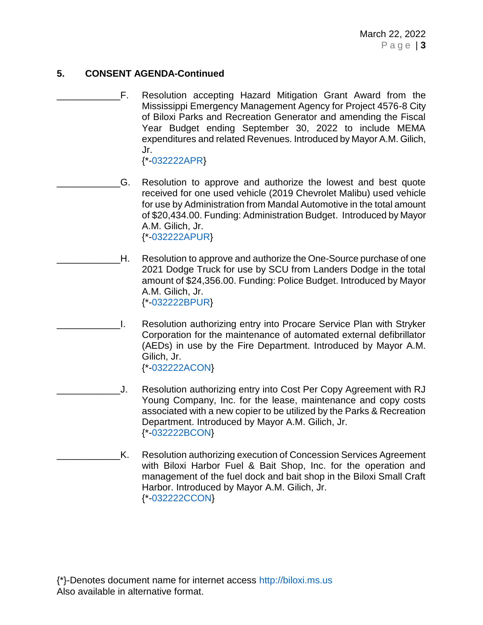# **5. CONSENT AGENDA-Continued**

- \_\_\_\_\_\_\_\_\_\_\_\_F. Resolution accepting Hazard Mitigation Grant Award from the Mississippi Emergency Management Agency for Project 4576-8 City of Biloxi Parks and Recreation Generator and amending the Fiscal Year Budget ending September 30, 2022 to include MEMA expenditures and related Revenues. Introduced by Mayor A.M. Gilich, Jr. {\*[-032222APR}](https://www.biloxi.ms.us/agendas/citycouncil/2022/032222/032222apr.pdf)
- G. Resolution to approve and authorize the lowest and best quote received for one used vehicle (2019 Chevrolet Malibu) used vehicle for use by Administration from Mandal Automotive in the total amount of \$20,434.00. Funding: Administration Budget. Introduced by Mayor A.M. Gilich, Jr. {\*[-032222APUR}](https://www.biloxi.ms.us/agendas/citycouncil/2022/032222/032222apur.pdf)
- \_\_\_\_\_\_\_\_\_\_\_\_H. Resolution to approve and authorize the One-Source purchase of one 2021 Dodge Truck for use by SCU from Landers Dodge in the total amount of \$24,356.00. Funding: Police Budget. Introduced by Mayor A.M. Gilich, Jr. {\*[-032222BPUR}](https://www.biloxi.ms.us/agendas/citycouncil/2022/032222/032222bpur.pdf)
- \_\_\_\_\_\_\_\_\_\_\_\_I. Resolution authorizing entry into Procare Service Plan with Stryker Corporation for the maintenance of automated external defibrillator (AEDs) in use by the Fire Department. Introduced by Mayor A.M. Gilich, Jr. {\*[-032222ACON}](https://www.biloxi.ms.us/agendas/citycouncil/2022/032222/032222acon.pdf)
- \_\_\_\_\_\_\_\_\_\_\_\_J. Resolution authorizing entry into Cost Per Copy Agreement with RJ Young Company, Inc. for the lease, maintenance and copy costs associated with a new copier to be utilized by the Parks & Recreation Department. Introduced by Mayor A.M. Gilich, Jr. {\*[-032222BCON}](https://www.biloxi.ms.us/agendas/citycouncil/2022/032222/032222bcon.pdf)
- K. Resolution authorizing execution of Concession Services Agreement with Biloxi Harbor Fuel & Bait Shop, Inc. for the operation and management of the fuel dock and bait shop in the Biloxi Small Craft Harbor. Introduced by Mayor A.M. Gilich, Jr. {\*[-032222CCON}](https://www.biloxi.ms.us/agendas/citycouncil/2022/032222/032222ccon.pdf)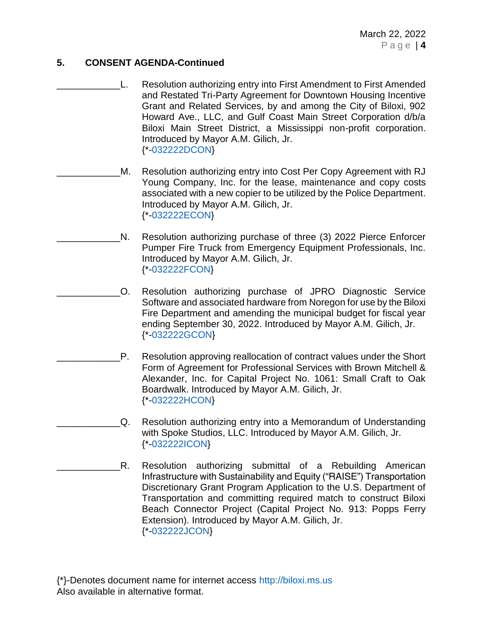# **5. CONSENT AGENDA-Continued**

- L. Resolution authorizing entry into First Amendment to First Amended and Restated Tri-Party Agreement for Downtown Housing Incentive Grant and Related Services, by and among the City of Biloxi, 902 Howard Ave., LLC, and Gulf Coast Main Street Corporation d/b/a Biloxi Main Street District, a Mississippi non-profit corporation. Introduced by Mayor A.M. Gilich, Jr. {\*[-032222DCON}](https://www.biloxi.ms.us/agendas/citycouncil/2022/032222/032222dcon.pdf)
- M. Resolution authorizing entry into Cost Per Copy Agreement with RJ Young Company, Inc. for the lease, maintenance and copy costs associated with a new copier to be utilized by the Police Department. Introduced by Mayor A.M. Gilich, Jr. {\*[-032222ECON}](https://www.biloxi.ms.us/agendas/citycouncil/2022/032222/032222econ.pdf)
	- N. Resolution authorizing purchase of three (3) 2022 Pierce Enforcer Pumper Fire Truck from Emergency Equipment Professionals, Inc. Introduced by Mayor A.M. Gilich, Jr. {\*[-032222FCON}](https://www.biloxi.ms.us/agendas/citycouncil/2022/032222/032222fcon.pdf)
- \_\_\_\_\_\_\_\_\_\_\_\_O. Resolution authorizing purchase of JPRO Diagnostic Service Software and associated hardware from Noregon for use by the Biloxi Fire Department and amending the municipal budget for fiscal year ending September 30, 2022. Introduced by Mayor A.M. Gilich, Jr. {\*[-032222GCON}](https://www.biloxi.ms.us/agendas/citycouncil/2022/032222/032222gcon.pdf)
- P. Resolution approving reallocation of contract values under the Short Form of Agreement for Professional Services with Brown Mitchell & Alexander, Inc. for Capital Project No. 1061: Small Craft to Oak Boardwalk. Introduced by Mayor A.M. Gilich, Jr. {\*[-032222HCON}](https://www.biloxi.ms.us/agendas/citycouncil/2022/032222/032222hcon.pdf)
	- \_\_\_\_\_\_\_\_\_\_\_\_Q. Resolution authorizing entry into a Memorandum of Understanding with Spoke Studios, LLC. Introduced by Mayor A.M. Gilich, Jr. {\*[-032222ICON}](https://www.biloxi.ms.us/agendas/citycouncil/2022/032222/032222icon.pdf)
- R. Resolution authorizing submittal of a Rebuilding American Infrastructure with Sustainability and Equity ("RAISE") Transportation Discretionary Grant Program Application to the U.S. Department of Transportation and committing required match to construct Biloxi Beach Connector Project (Capital Project No. 913: Popps Ferry Extension). Introduced by Mayor A.M. Gilich, Jr. {\*[-032222JCON}](https://www.biloxi.ms.us/agendas/citycouncil/2022/032222/032222jcon.pdf)